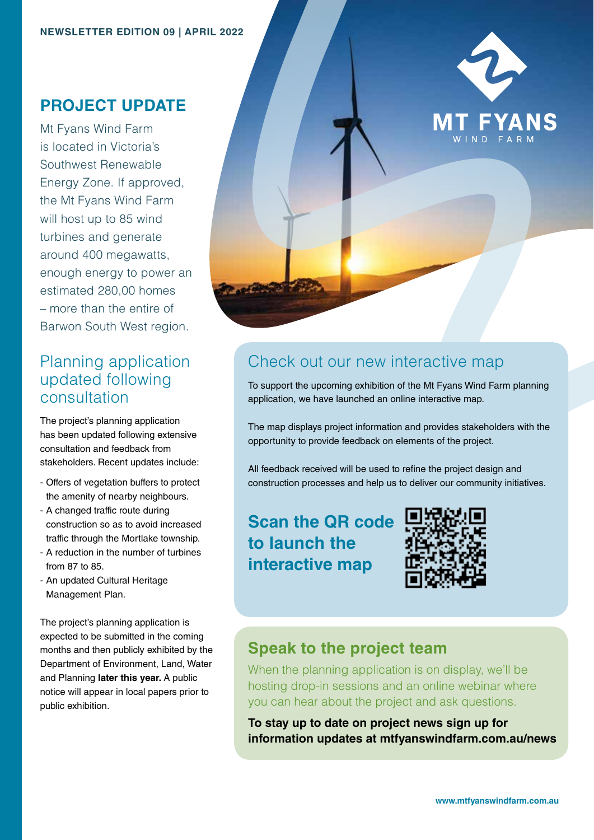### **PROJECT UPDATE**

Mt Fyans Wind Farm is located in Victoria's Southwest Renewable Energy Zone. If approved, the Mt Fyans Wind Farm will host up to 85 wind turbines and generate around 400 megawatts, enough energy to power an estimated 280,00 homes – more than the entire of Barwon South West region.

## Planning application updated following consultation

The project's planning application has been updated following extensive consultation and feedback from stakeholders. Recent updates include:

- Offers of vegetation buffers to protect the amenity of nearby neighbours.
- A changed traffic route during construction so as to avoid increased traffic through the Mortlake township.
- A reduction in the number of turbines from 87 to 85.
- An updated Cultural Heritage Management Plan.

The project's planning application is expected to be submitted in the coming months and then publicly exhibited by the Department of Environment, Land, Water and Planning **later this year.** A public notice will appear in local papers prior to public exhibition.



# Check out our new interactive map

To support the upcoming exhibition of the Mt Fyans Wind Farm planning application, we have launched an online interactive map.

The map displays project information and provides stakeholders with the opportunity to provide feedback on elements of the project.

All feedback received will be used to refine the project design and construction processes and help us to deliver our community initiatives.

**Scan the QR code to launch the interactive map** 



#### **Speak to the project team**

When the planning application is on display, we'll be hosting drop-in sessions and an online webinar where you can hear about the project and ask questions.

**To stay up to date on project news sign up for information updates at mtfyanswindfarm.com.au/news**